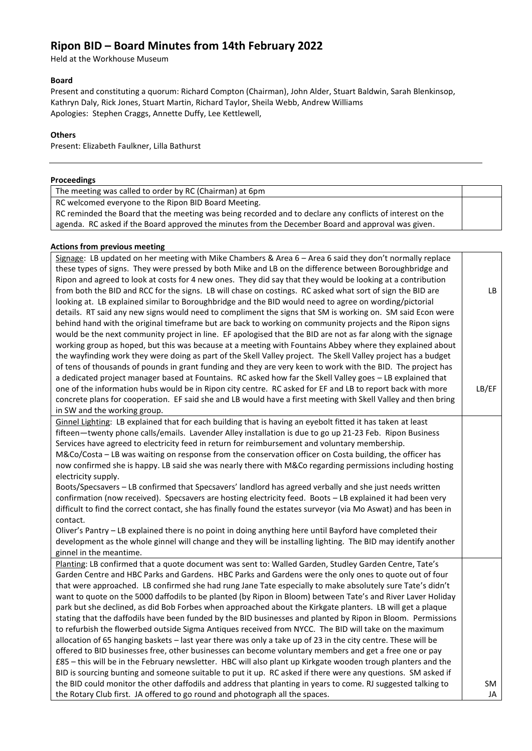# **Ripon BID – Board Minutes from 14th February 2022**

Held at the Workhouse Museum

## **Board**

Present and constituting a quorum: Richard Compton (Chairman), John Alder, Stuart Baldwin, Sarah Blenkinsop, Kathryn Daly, Rick Jones, Stuart Martin, Richard Taylor, Sheila Webb, Andrew Williams Apologies: Stephen Craggs, Annette Duffy, Lee Kettlewell,

# **Others**

Present: Elizabeth Faulkner, Lilla Bathurst

## **Proceedings**

The meeting was called to order by RC (Chairman) at 6pm

RC welcomed everyone to the Ripon BID Board Meeting.

RC reminded the Board that the meeting was being recorded and to declare any conflicts of interest on the agenda. RC asked if the Board approved the minutes from the December Board and approval was given.

#### **Actions from previous meeting**

Signage: LB updated on her meeting with Mike Chambers & Area 6 – Area 6 said they don't normally replace these types of signs. They were pressed by both Mike and LB on the difference between Boroughbridge and Ripon and agreed to look at costs for 4 new ones. They did say that they would be looking at a contribution from both the BID and RCC for the signs. LB will chase on costings. RC asked what sort of sign the BID are looking at. LB explained similar to Boroughbridge and the BID would need to agree on wording/pictorial details. RT said any new signs would need to compliment the signs that SM is working on. SM said Econ were behind hand with the original timeframe but are back to working on community projects and the Ripon signs would be the next community project in line. EF apologised that the BID are not as far along with the signage working group as hoped, but this was because at a meeting with Fountains Abbey where they explained about the wayfinding work they were doing as part of the Skell Valley project. The Skell Valley project has a budget of tens of thousands of pounds in grant funding and they are very keen to work with the BID. The project has a dedicated project manager based at Fountains. RC asked how far the Skell Valley goes – LB explained that one of the information hubs would be in Ripon city centre. RC asked for EF and LB to report back with more concrete plans for cooperation. EF said she and LB would have a first meeting with Skell Valley and then bring in SW and the working group. LB LB/EF Ginnel Lighting: LB explained that for each building that is having an eyebolt fitted it has taken at least fifteen—twenty phone calls/emails. Lavender Alley installation is due to go up 21-23 Feb. Ripon Business Services have agreed to electricity feed in return for reimbursement and voluntary membership. M&Co/Costa – LB was waiting on response from the conservation officer on Costa building, the officer has now confirmed she is happy. LB said she was nearly there with M&Co regarding permissions including hosting electricity supply. Boots/Specsavers – LB confirmed that Specsavers' landlord has agreed verbally and she just needs written confirmation (now received). Specsavers are hosting electricity feed. Boots – LB explained it had been very difficult to find the correct contact, she has finally found the estates surveyor (via Mo Aswat) and has been in contact. Oliver's Pantry – LB explained there is no point in doing anything here until Bayford have completed their development as the whole ginnel will change and they will be installing lighting. The BID may identify another ginnel in the meantime. Planting: LB confirmed that a quote document was sent to: Walled Garden, Studley Garden Centre, Tate's Garden Centre and HBC Parks and Gardens. HBC Parks and Gardens were the only ones to quote out of four that were approached. LB confirmed she had rung Jane Tate especially to make absolutely sure Tate's didn't want to quote on the 5000 daffodils to be planted (by Ripon in Bloom) between Tate's and River Laver Holiday park but she declined, as did Bob Forbes when approached about the Kirkgate planters. LB will get a plaque stating that the daffodils have been funded by the BID businesses and planted by Ripon in Bloom. Permissions to refurbish the flowerbed outside Sigma Antiques received from NYCC. The BID will take on the maximum allocation of 65 hanging baskets – last year there was only a take up of 23 in the city centre. These will be offered to BID businesses free, other businesses can become voluntary members and get a free one or pay £85 – this will be in the February newsletter. HBC will also plant up Kirkgate wooden trough planters and the BID is sourcing bunting and someone suitable to put it up. RC asked if there were any questions. SM asked if the BID could monitor the other daffodils and address that planting in years to come. RJ suggested talking to the Rotary Club first. JA offered to go round and photograph all the spaces. SM JA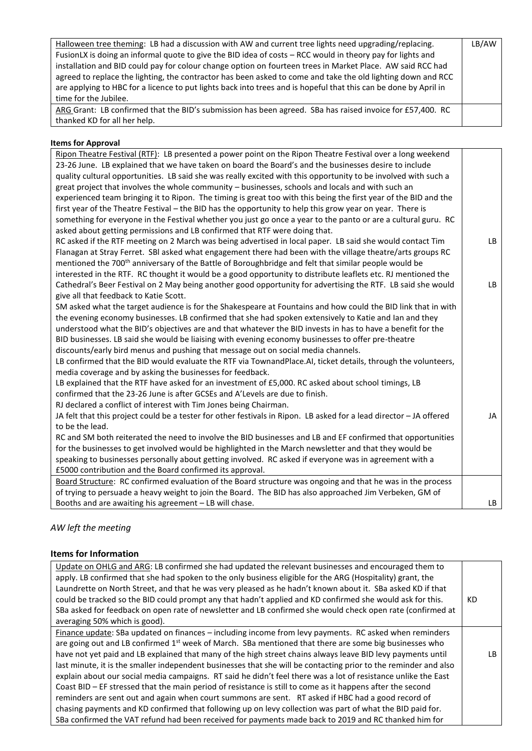| Halloween tree theming: LB had a discussion with AW and current tree lights need upgrading/replacing.            | LB/AW |
|------------------------------------------------------------------------------------------------------------------|-------|
| FusionLX is doing an informal quote to give the BID idea of costs – RCC would in theory pay for lights and       |       |
| installation and BID could pay for colour change option on fourteen trees in Market Place. AW said RCC had       |       |
| agreed to replace the lighting, the contractor has been asked to come and take the old lighting down and RCC     |       |
| are applying to HBC for a licence to put lights back into trees and is hopeful that this can be done by April in |       |
| time for the Jubilee.                                                                                            |       |
|                                                                                                                  |       |
| ARG Grant: LB confirmed that the BID's submission has been agreed. SBa has raised invoice for £57,400. RC        |       |
| thanked KD for all her help.                                                                                     |       |

# **Items for Approval**

| Ripon Theatre Festival (RTF): LB presented a power point on the Ripon Theatre Festival over a long weekend          |    |
|---------------------------------------------------------------------------------------------------------------------|----|
| 23-26 June. LB explained that we have taken on board the Board's and the businesses desire to include               |    |
| quality cultural opportunities. LB said she was really excited with this opportunity to be involved with such a     |    |
| great project that involves the whole community - businesses, schools and locals and with such an                   |    |
| experienced team bringing it to Ripon. The timing is great too with this being the first year of the BID and the    |    |
| first year of the Theatre Festival - the BID has the opportunity to help this grow year on year. There is           |    |
| something for everyone in the Festival whether you just go once a year to the panto or are a cultural guru. RC      |    |
| asked about getting permissions and LB confirmed that RTF were doing that.                                          |    |
| RC asked if the RTF meeting on 2 March was being advertised in local paper. LB said she would contact Tim           | LB |
| Flanagan at Stray Ferret. SBI asked what engagement there had been with the village theatre/arts groups RC          |    |
| mentioned the 700 <sup>th</sup> anniversary of the Battle of Boroughbridge and felt that similar people would be    |    |
| interested in the RTF. RC thought it would be a good opportunity to distribute leaflets etc. RJ mentioned the       |    |
| Cathedral's Beer Festival on 2 May being another good opportunity for advertising the RTF. LB said she would        | LB |
| give all that feedback to Katie Scott.                                                                              |    |
| SM asked what the target audience is for the Shakespeare at Fountains and how could the BID link that in with       |    |
| the evening economy businesses. LB confirmed that she had spoken extensively to Katie and Ian and they              |    |
| understood what the BID's objectives are and that whatever the BID invests in has to have a benefit for the         |    |
| BID businesses. LB said she would be liaising with evening economy businesses to offer pre-theatre                  |    |
| discounts/early bird menus and pushing that message out on social media channels.                                   |    |
| LB confirmed that the BID would evaluate the RTF via TownandPlace.AI, ticket details, through the volunteers,       |    |
| media coverage and by asking the businesses for feedback.                                                           |    |
| LB explained that the RTF have asked for an investment of £5,000. RC asked about school timings, LB                 |    |
| confirmed that the 23-26 June is after GCSEs and A'Levels are due to finish.                                        |    |
| RJ declared a conflict of interest with Tim Jones being Chairman.                                                   |    |
| JA felt that this project could be a tester for other festivals in Ripon. LB asked for a lead director - JA offered | JA |
| to be the lead.                                                                                                     |    |
| RC and SM both reiterated the need to involve the BID businesses and LB and EF confirmed that opportunities         |    |
| for the businesses to get involved would be highlighted in the March newsletter and that they would be              |    |
| speaking to businesses personally about getting involved. RC asked if everyone was in agreement with a              |    |
| £5000 contribution and the Board confirmed its approval.                                                            |    |
| Board Structure: RC confirmed evaluation of the Board structure was ongoing and that he was in the process          |    |
| of trying to persuade a heavy weight to join the Board. The BID has also approached Jim Verbeken, GM of             |    |
| Booths and are awaiting his agreement - LB will chase.                                                              | LB |

# *AW left the meeting*

# **Items for Information**

| Update on OHLG and ARG: LB confirmed she had updated the relevant businesses and encouraged them to<br>apply. LB confirmed that she had spoken to the only business eligible for the ARG (Hospitality) grant, the<br>Laundrette on North Street, and that he was very pleased as he hadn't known about it. SBa asked KD if that<br>could be tracked so the BID could prompt any that hadn't applied and KD confirmed she would ask for this.<br>SBa asked for feedback on open rate of newsletter and LB confirmed she would check open rate (confirmed at<br>averaging 50% which is good). | КD  |
|---------------------------------------------------------------------------------------------------------------------------------------------------------------------------------------------------------------------------------------------------------------------------------------------------------------------------------------------------------------------------------------------------------------------------------------------------------------------------------------------------------------------------------------------------------------------------------------------|-----|
| Finance update: SBa updated on finances – including income from levy payments. RC asked when reminders                                                                                                                                                                                                                                                                                                                                                                                                                                                                                      |     |
| are going out and LB confirmed 1 <sup>st</sup> week of March. SBa mentioned that there are some big businesses who                                                                                                                                                                                                                                                                                                                                                                                                                                                                          |     |
| have not yet paid and LB explained that many of the high street chains always leave BID levy payments until                                                                                                                                                                                                                                                                                                                                                                                                                                                                                 | LB. |
| last minute, it is the smaller independent businesses that she will be contacting prior to the reminder and also                                                                                                                                                                                                                                                                                                                                                                                                                                                                            |     |
| explain about our social media campaigns. RT said he didn't feel there was a lot of resistance unlike the East                                                                                                                                                                                                                                                                                                                                                                                                                                                                              |     |
| Coast BID - EF stressed that the main period of resistance is still to come as it happens after the second                                                                                                                                                                                                                                                                                                                                                                                                                                                                                  |     |
| reminders are sent out and again when court summons are sent. RT asked if HBC had a good record of                                                                                                                                                                                                                                                                                                                                                                                                                                                                                          |     |
| chasing payments and KD confirmed that following up on levy collection was part of what the BID paid for.                                                                                                                                                                                                                                                                                                                                                                                                                                                                                   |     |
| SBa confirmed the VAT refund had been received for payments made back to 2019 and RC thanked him for                                                                                                                                                                                                                                                                                                                                                                                                                                                                                        |     |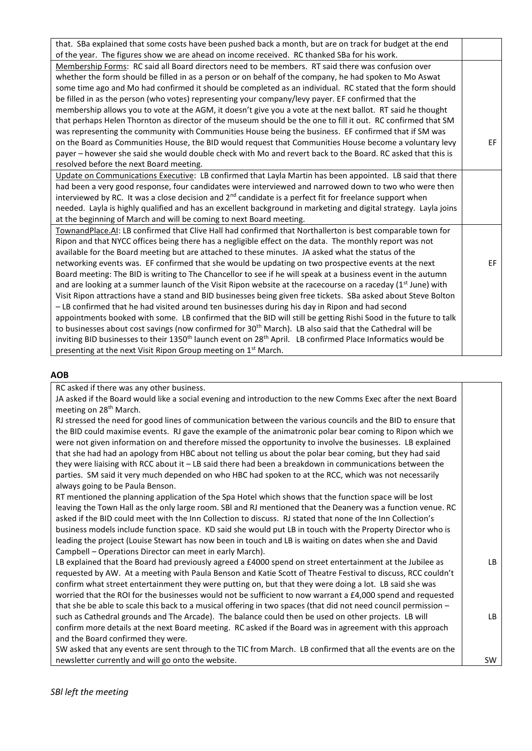| that. SBa explained that some costs have been pushed back a month, but are on track for budget at the end                           |     |
|-------------------------------------------------------------------------------------------------------------------------------------|-----|
| of the year. The figures show we are ahead on income received. RC thanked SBa for his work.                                         |     |
| Membership Forms: RC said all Board directors need to be members. RT said there was confusion over                                  |     |
| whether the form should be filled in as a person or on behalf of the company, he had spoken to Mo Aswat                             |     |
| some time ago and Mo had confirmed it should be completed as an individual. RC stated that the form should                          |     |
| be filled in as the person (who votes) representing your company/levy payer. EF confirmed that the                                  |     |
| membership allows you to vote at the AGM, it doesn't give you a vote at the next ballot. RT said he thought                         |     |
| that perhaps Helen Thornton as director of the museum should be the one to fill it out. RC confirmed that SM                        |     |
| was representing the community with Communities House being the business. EF confirmed that if SM was                               |     |
| on the Board as Communities House, the BID would request that Communities House become a voluntary levy                             | EF. |
| payer - however she said she would double check with Mo and revert back to the Board. RC asked that this is                         |     |
| resolved before the next Board meeting.                                                                                             |     |
| Update on Communications Executive: LB confirmed that Layla Martin has been appointed. LB said that there                           |     |
| had been a very good response, four candidates were interviewed and narrowed down to two who were then                              |     |
| interviewed by RC. It was a close decision and $2nd$ candidate is a perfect fit for freelance support when                          |     |
| needed. Layla is highly qualified and has an excellent background in marketing and digital strategy. Layla joins                    |     |
| at the beginning of March and will be coming to next Board meeting.                                                                 |     |
| TownandPlace.AI: LB confirmed that Clive Hall had confirmed that Northallerton is best comparable town for                          |     |
| Ripon and that NYCC offices being there has a negligible effect on the data. The monthly report was not                             |     |
| available for the Board meeting but are attached to these minutes. JA asked what the status of the                                  |     |
| networking events was. EF confirmed that she would be updating on two prospective events at the next                                | EF. |
| Board meeting: The BID is writing to The Chancellor to see if he will speak at a business event in the autumn                       |     |
| and are looking at a summer launch of the Visit Ripon website at the racecourse on a raceday (1 <sup>st</sup> June) with            |     |
| Visit Ripon attractions have a stand and BID businesses being given free tickets. SBa asked about Steve Bolton                      |     |
| - LB confirmed that he had visited around ten businesses during his day in Ripon and had second                                     |     |
| appointments booked with some. LB confirmed that the BID will still be getting Rishi Sood in the future to talk                     |     |
| to businesses about cost savings (now confirmed for 30 <sup>th</sup> March). LB also said that the Cathedral will be                |     |
| inviting BID businesses to their 1350 <sup>th</sup> launch event on 28 <sup>th</sup> April. LB confirmed Place Informatics would be |     |
| presenting at the next Visit Ripon Group meeting on 1 <sup>st</sup> March.                                                          |     |

## **AOB**

RC asked if there was any other business.

JA asked if the Board would like a social evening and introduction to the new Comms Exec after the next Board meeting on 28th March.

RJ stressed the need for good lines of communication between the various councils and the BID to ensure that the BID could maximise events. RJ gave the example of the animatronic polar bear coming to Ripon which we were not given information on and therefore missed the opportunity to involve the businesses. LB explained that she had had an apology from HBC about not telling us about the polar bear coming, but they had said they were liaising with RCC about it – LB said there had been a breakdown in communications between the parties. SM said it very much depended on who HBC had spoken to at the RCC, which was not necessarily always going to be Paula Benson.

RT mentioned the planning application of the Spa Hotel which shows that the function space will be lost leaving the Town Hall as the only large room. SBl and RJ mentioned that the Deanery was a function venue. RC asked if the BID could meet with the Inn Collection to discuss. RJ stated that none of the Inn Collection's business models include function space. KD said she would put LB in touch with the Property Director who is leading the project (Louise Stewart has now been in touch and LB is waiting on dates when she and David Campbell – Operations Director can meet in early March).

LB explained that the Board had previously agreed a £4000 spend on street entertainment at the Jubilee as requested by AW. At a meeting with Paula Benson and Katie Scott of Theatre Festival to discuss, RCC couldn't confirm what street entertainment they were putting on, but that they were doing a lot. LB said she was worried that the ROI for the businesses would not be sufficient to now warrant a £4,000 spend and requested that she be able to scale this back to a musical offering in two spaces (that did not need council permission – such as Cathedral grounds and The Arcade). The balance could then be used on other projects. LB will confirm more details at the next Board meeting. RC asked if the Board was in agreement with this approach and the Board confirmed they were. LB LB

SW

SW asked that any events are sent through to the TIC from March. LB confirmed that all the events are on the newsletter currently and will go onto the website.